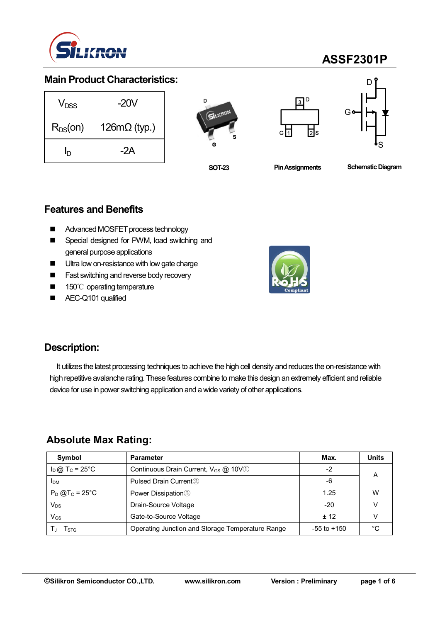

## **ASSF2301P**

### **Main Product Characteristics:**

| V <sub>DSS</sub> | -20V                |  |  |  |
|------------------|---------------------|--|--|--|
| $R_{DS}(on)$     | $126m\Omega$ (typ.) |  |  |  |
| ln               | -2A                 |  |  |  |







**SOT-23**

**Pin Assignments Schematic Diagram** 

### **Features and Benefits**

- Advanced MOSFET process technology
- Special designed for PWM, load switching and general purpose applications
- **Ultra low on-resistance with low gate charge**
- **Fast switching and reverse body recovery**
- 150℃ operating temperature
- AEC-Q101 qualified



## **Description:**

It utilizes the latest processing techniques to achieve the high cell density and reduces the on-resistance with high repetitive avalanche rating. These features combine to make this design an extremely efficient and reliable device for use in power switching application and a wide variety of other applications.

### **Absolute Max Rating:**

| Symbol                        | <b>Parameter</b>                                        | Max.            | <b>Units</b> |
|-------------------------------|---------------------------------------------------------|-----------------|--------------|
| $I_D$ @ T <sub>C</sub> = 25°C | Continuous Drain Current, $V_{GS}$ $@$ 10V <sup>1</sup> | $-2$            |              |
| <b>IDM</b>                    | Pulsed Drain Current <sup>2</sup>                       | -6              | А            |
| $P_D @T_C = 25^{\circ}C$      | Power Dissipation <sup>3</sup>                          | 1.25            | W            |
| Vps                           | Drain-Source Voltage                                    | $-20$           |              |
| V <sub>GS</sub>               | Gate-to-Source Voltage                                  | $+12$           |              |
| l stg                         | Operating Junction and Storage Temperature Range        | $-55$ to $+150$ | °∩           |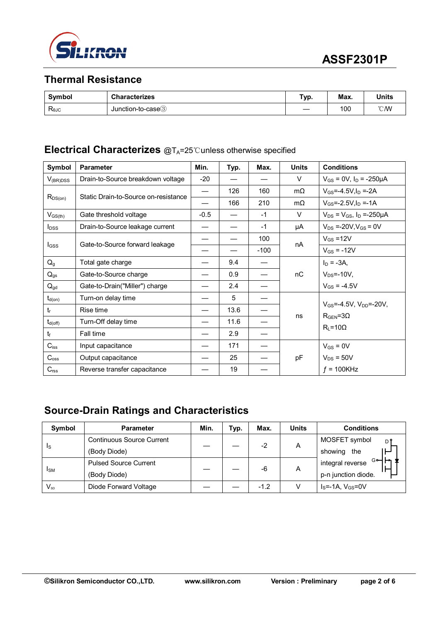

## **Thermal Resistance**

| Symbol             | <b>Characterizes</b> | Typ. | Max. | <b>Units</b>     |
|--------------------|----------------------|------|------|------------------|
| $R_{\theta$ J $C}$ | Junction-to-case3    |      | 100  | $\mathcal{C}$ MV |

#### **Electrical Characterizes** @T<sub>A</sub>=25℃unless otherwise specified

| Symbol           | <b>Parameter</b>                     | Min.                     | Typ. | Max.   | <b>Units</b> | <b>Conditions</b>                                                  |  |
|------------------|--------------------------------------|--------------------------|------|--------|--------------|--------------------------------------------------------------------|--|
| $V_{(BR)DSS}$    | Drain-to-Source breakdown voltage    | $-20$                    |      |        | V            | $V_{GS}$ = 0V, $I_D$ = -250µA                                      |  |
|                  | Static Drain-to-Source on-resistance | $\overline{\phantom{0}}$ | 126  | 160    | $m\Omega$    | $V_{GS} = -4.5V I_D = -2A$                                         |  |
| $R_{DS(on)}$     |                                      |                          | 166  | 210    | $m\Omega$    | $V_{GS} = -2.5V, I_D = -1A$                                        |  |
| $V_{GS(th)}$     | Gate threshold voltage               | $-0.5$                   |      | $-1$   | V            | $V_{DS} = V_{GS}$ , $I_D = -250 \mu A$                             |  |
| $I_{DSS}$        | Drain-to-Source leakage current      |                          |      | $-1$   | μA           | $V_{DS}$ =-20V, $V_{GS}$ = 0V                                      |  |
|                  |                                      |                          |      | 100    |              | $V_{GS}$ =12V                                                      |  |
| $_{\text{GSS}}$  | Gate-to-Source forward leakage       |                          |      | $-100$ | nA           | $V_{GS} = -12V$                                                    |  |
| $Q_{q}$          | Total gate charge                    |                          | 9.4  |        |              | $I_D = -3A$ ,                                                      |  |
| $Q_{gs}$         | Gate-to-Source charge                |                          | 0.9  |        | nC           | $V_{DS}$ =-10V,                                                    |  |
| $Q_{gd}$         | Gate-to-Drain("Miller") charge       |                          | 2.4  |        |              | $V_{GS} = -4.5V$                                                   |  |
| $t_{d(on)}$      | Turn-on delay time                   |                          | 5    |        |              |                                                                    |  |
| $t_{r}$          | Rise time                            |                          | 13.6 |        |              | $V_{GS} = -4.5V$ , $V_{DD} = -20V$ ,<br>$R_{\text{GEN}} = 3\Omega$ |  |
| $t_{d(off)}$     | Turn-Off delay time                  |                          | 11.6 |        | ns           |                                                                    |  |
| $t_{\rm f}$      | Fall time                            |                          | 2.9  |        |              | $R_L = 10\Omega$                                                   |  |
| $C_{iss}$        | Input capacitance                    |                          | 171  |        |              | $V_{GS} = 0V$                                                      |  |
| $C_{\rm oss}$    | Output capacitance                   |                          | 25   |        | pF           | $V_{DS}$ = 50V                                                     |  |
| C <sub>rss</sub> | Reverse transfer capacitance         |                          | 19   |        |              | $f = 100K$ Hz                                                      |  |

## **Source-Drain Ratings and Characteristics**

| Symbol                 | <b>Parameter</b>                 | Min. | Typ. | Max.   | <b>Units</b> | <b>Conditions</b>           |
|------------------------|----------------------------------|------|------|--------|--------------|-----------------------------|
| 1s                     | <b>Continuous Source Current</b> |      |      | $-2$   | A            | MOSFET symbol<br>D'         |
|                        | (Body Diode)                     |      |      |        |              | showing<br>the              |
| <b>I</b> <sub>SM</sub> | <b>Pulsed Source Current</b>     |      |      | -6     | Α            | G⊶<br>integral reverse      |
|                        | (Body Diode)                     |      |      |        |              | p-n junction diode.         |
| $V_{SD}$               | Diode Forward Voltage            |      |      | $-1.2$ |              | $I_S = -1A$ , $V_{GS} = 0V$ |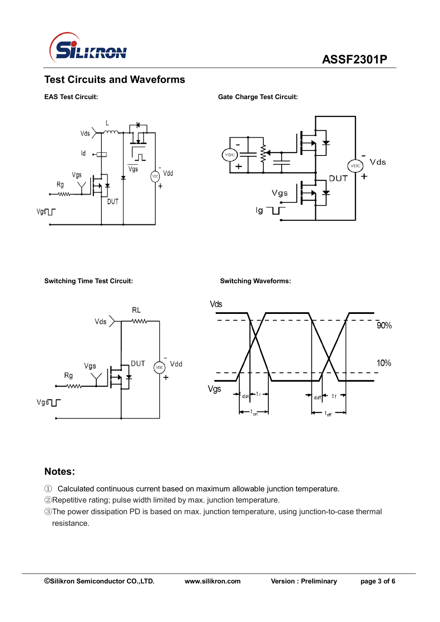

## **Test Circuits and Waveforms**

#### **EAS Test Circuit: Gate Charge Test Circuit:**





#### **Switching Time Test Circuit: Switching Waveforms:**





#### **Notes:**

- ① Calculated continuous current based on maximum allowable junction temperature.
- ②Repetitive rating; pulse width limited by max. junction temperature.
- ③The power dissipation PD is based on max. junction temperature, using junction-to-case thermal resistance.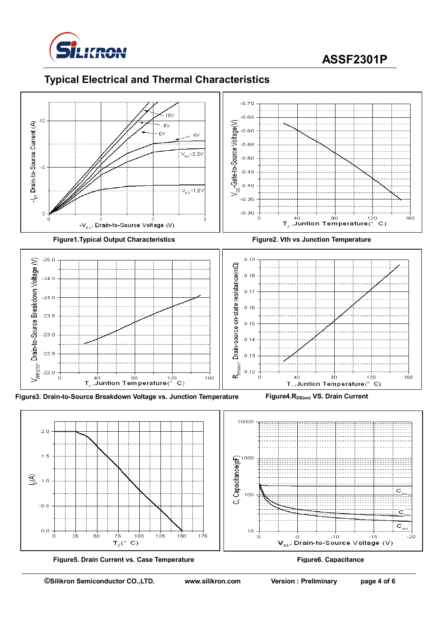

# **ASSF2301P**





**Figure5. Drain Current vs. Case Temperature Figure6. Capacitance**

 $\mathbf{C}$ 

 $\mathbf{V}_\text{ps}$ , Drain-to-Source Voltage (V)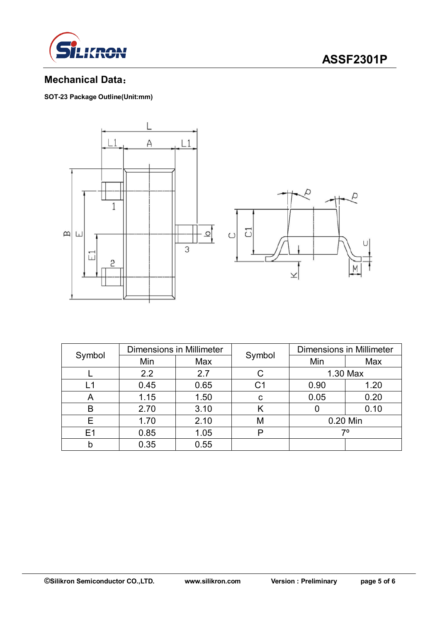

## **ASSF2301P**

## **Mechanical Data**:

**SOT-23 Package Outline(Unit:mm)**



| Symbol         | <b>Dimensions in Millimeter</b> |      |                | <b>Dimensions in Millimeter</b> |      |  |
|----------------|---------------------------------|------|----------------|---------------------------------|------|--|
|                | Min                             | Max  | Symbol         | Min                             | Max  |  |
|                | 2.2                             | 2.7  |                | 1.30 Max                        |      |  |
| L1             | 0.45                            | 0.65 | C <sub>1</sub> | 0.90                            | 1.20 |  |
| A              | 1.15                            | 1.50 | C              | 0.05                            | 0.20 |  |
| B              | 2.70                            | 3.10 |                |                                 | 0.10 |  |
| Е              | 1.70                            | 2.10 | M              | 0.20 Min                        |      |  |
| E <sub>1</sub> | 0.85                            | 1.05 | P              | 70                              |      |  |
| b              | 0.35                            | 0.55 |                |                                 |      |  |